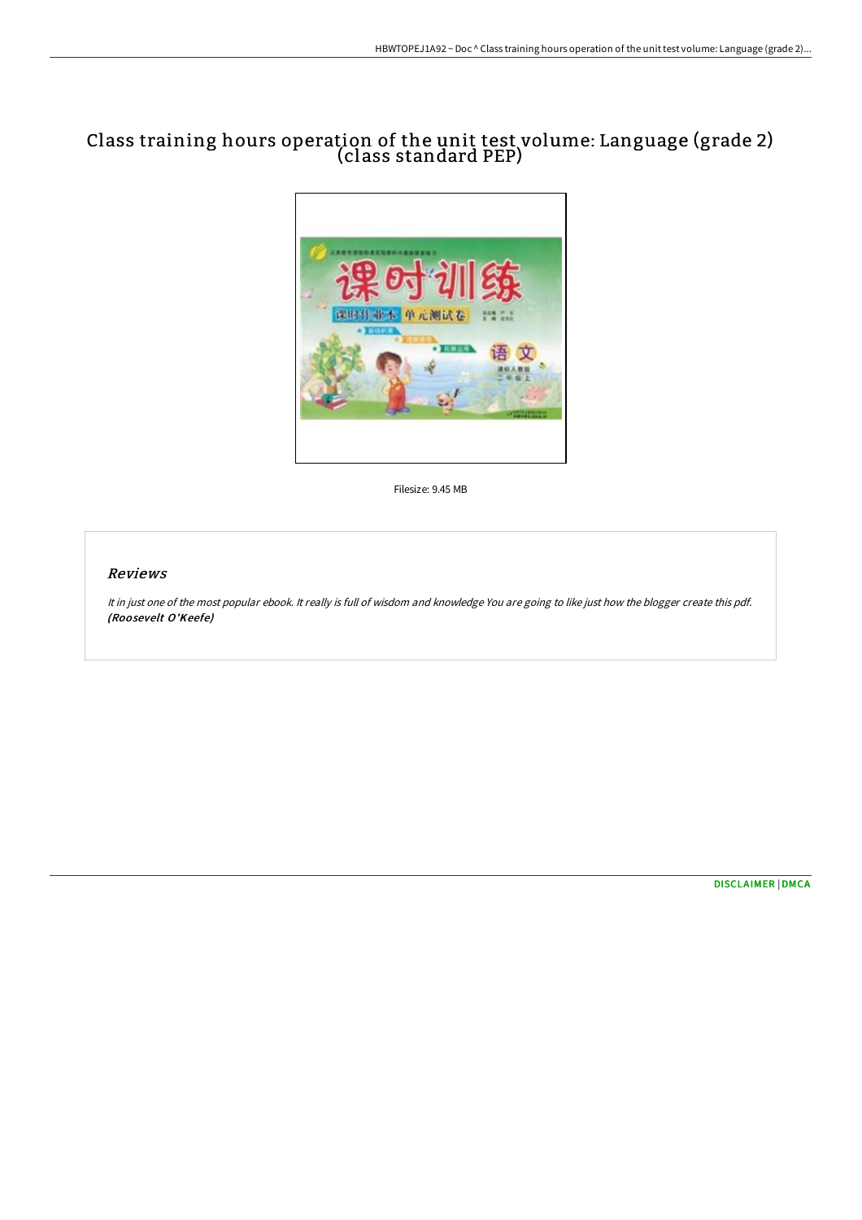# Class training hours operation of the unit test volume: Language (grade 2) (class standard PEP)



Filesize: 9.45 MB

## Reviews

It in just one of the most popular ebook. It really is full of wisdom and knowledge You are going to like just how the blogger create this pdf. (Roosevelt O'Keefe)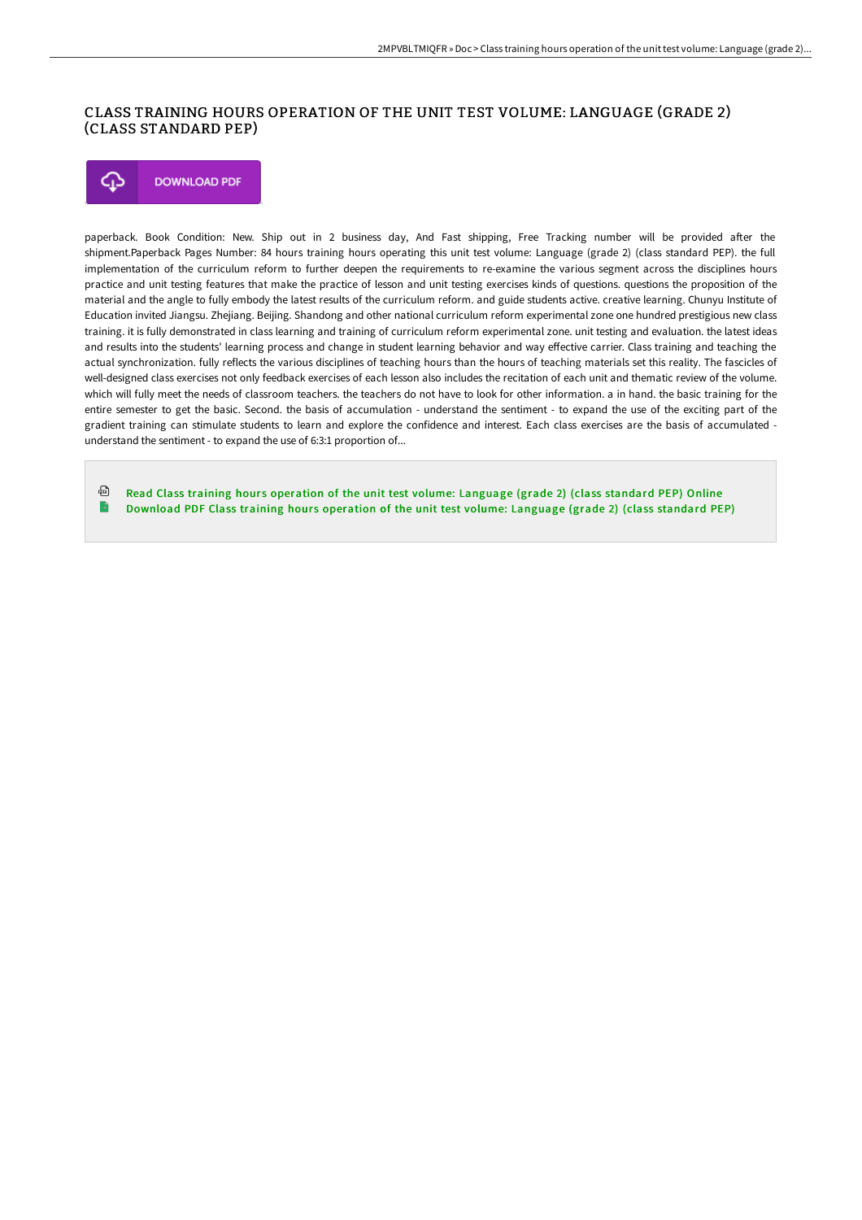## CLASS TRAINING HOURS OPERATION OF THE UNIT TEST VOLUME: LANGUAGE (GRADE 2) (CLASS STANDARD PEP)

#### **DOWNLOAD PDF** Φ

paperback. Book Condition: New. Ship out in 2 business day, And Fast shipping, Free Tracking number will be provided after the shipment.Paperback Pages Number: 84 hours training hours operating this unit test volume: Language (grade 2) (class standard PEP). the full implementation of the curriculum reform to further deepen the requirements to re-examine the various segment across the disciplines hours practice and unit testing features that make the practice of lesson and unit testing exercises kinds of questions. questions the proposition of the material and the angle to fully embody the latest results of the curriculum reform. and guide students active. creative learning. Chunyu Institute of Education invited Jiangsu. Zhejiang. Beijing. Shandong and other national curriculum reform experimental zone one hundred prestigious new class training. it is fully demonstrated in class learning and training of curriculum reform experimental zone. unit testing and evaluation. the latest ideas and results into the students' learning process and change in student learning behavior and way eFective carrier. Class training and teaching the actual synchronization. fully reflects the various disciplines of teaching hours than the hours of teaching materials set this reality. The fascicles of well-designed class exercises not only feedback exercises of each lesson also includes the recitation of each unit and thematic review of the volume. which will fully meet the needs of classroom teachers. the teachers do not have to look for other information. a in hand. the basic training for the entire semester to get the basic. Second. the basis of accumulation - understand the sentiment - to expand the use of the exciting part of the gradient training can stimulate students to learn and explore the confidence and interest. Each class exercises are the basis of accumulated understand the sentiment - to expand the use of 6:3:1 proportion of...

同 Read Class training hours operation of the unit test volume: [Language](http://techno-pub.tech/class-training-hours-operation-of-the-unit-test--1.html) (grade 2) (class standard PEP) Online  $\rightarrow$ [Download](http://techno-pub.tech/class-training-hours-operation-of-the-unit-test--1.html) PDF Class training hours operation of the unit test volume: Language (grade 2) (class standard PEP)